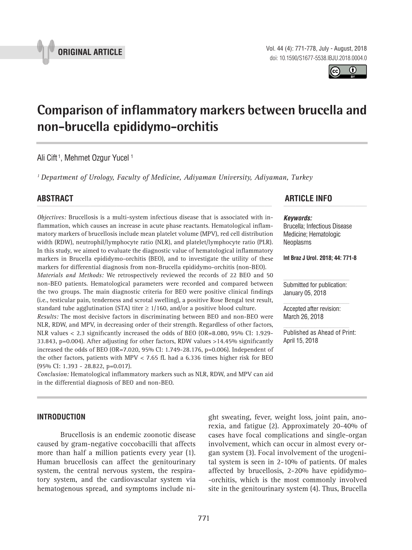



# **Comparison of inflammatory markers between brucella and non-brucella epididymo-orchitis \_\_\_\_\_\_\_\_\_\_\_\_\_\_\_\_\_\_\_\_\_\_\_\_\_\_\_\_\_\_\_\_\_\_\_\_\_\_\_\_\_\_\_\_\_\_\_**

Ali Cift<sup>1</sup>, Mehmet Ozgur Yucel<sup>1</sup>

*1 Department of Urology, Faculty of Medicine, Adiyaman University, Adiyaman, Turkey*

*Objectives:* Brucellosis is a multi-system infectious disease that is associated with inflammation, which causes an increase in acute phase reactants. Hematological inflammatory markers of brucellosis include mean platelet volume (MPV), red cell distribution width (RDW), neutrophil/lymphocyte ratio (NLR), and platelet/lymphocyte ratio (PLR). In this study, we aimed to evaluate the diagnostic value of hematological inflammatory markers in Brucella epididymo-orchitis (BEO), and to investigate the utility of these markers for differential diagnosis from non-Brucella epididymo-orchitis (non-BEO). *Materials and Methods:* We retrospectively reviewed the records of 22 BEO and 50 non-BEO patients. Hematological parameters were recorded and compared between the two groups. The main diagnostic criteria for BEO were positive clinical findings (i.e., testicular pain, tenderness and scrotal swelling), a positive Rose Bengal test result, standard tube agglutination (STA) titer  $\geq 1/160$ , and/or a positive blood culture. *Results:* The most decisive factors in discriminating between BEO and non-BEO were NLR, RDW, and MPV, in decreasing order of their strength. Regardless of other factors, NLR values < 2.3 significantly increased the odds of BEO (OR=8.080, 95% CI: 1.929- 33.843, p=0.004). After adjusting for other factors, RDW values >14.45% significantly

increased the odds of BEO (OR=7.020, 95% CI: 1.749-28.176, p=0.006). Independent of the other factors, patients with MPV < 7.65 fL had a 6.336 times higher risk for BEO (95% CI: 1.393 - 28.822, p=0.017).

*Conclusion:* Hematological inflammatory markers such as NLR, RDW, and MPV can aid in the differential diagnosis of BEO and non-BEO.

#### **INTRODUCTION**

Brucellosis is an endemic zoonotic disease caused by gram-negative coccobacilli that affects more than half a million patients every year (1). Human brucellosis can affect the genitourinary system, the central nervous system, the respiratory system, and the cardiovascular system via hematogenous spread, and symptoms include ni-

ght sweating, fever, weight loss, joint pain, anorexia, and fatigue (2). Approximately 20-40% of cases have focal complications and single-organ involvement, which can occur in almost every organ system (3). Focal involvement of the urogenital system is seen in 2-10% of patients. Of males affected by brucellosis, 2-20% have epididymo- -orchitis, which is the most commonly involved site in the genitourinary system (4). Thus, Brucella

# **ABSTRACT ARTICLE INFO** *\_\_\_\_\_\_\_\_\_\_\_\_\_\_\_\_\_\_\_\_\_\_\_\_\_\_\_\_\_\_\_\_\_\_\_\_\_\_\_\_\_\_\_\_\_\_\_\_\_\_\_\_\_\_\_\_\_\_\_\_\_\_ \_\_\_\_\_\_\_\_\_\_\_\_\_\_\_\_\_\_\_\_\_\_*

#### *Keywords:*

Brucella; Infectious Disease Medicine; Hematologic Neoplasms

**Int Braz J Urol. 2018; 44: 771-8**

Submitted for publication: January 05, 2018

Accepted after revision: March 26, 2018

Published as Ahead of Print: April 15, 2018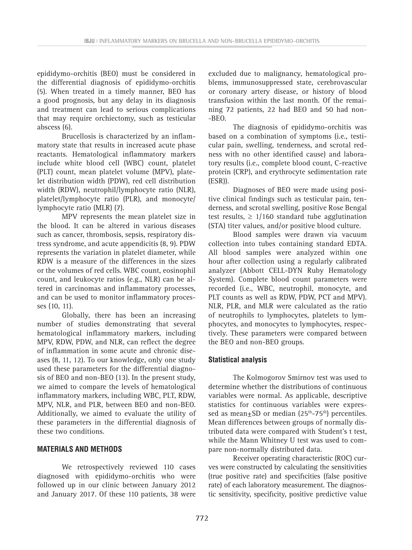epididymo-orchitis (BEO) must be considered in the differential diagnosis of epididymo-orchitis (5). When treated in a timely manner, BEO has a good prognosis, but any delay in its diagnosis and treatment can lead to serious complications that may require orchiectomy, such as testicular abscess (6).

Brucellosis is characterized by an inflammatory state that results in increased acute phase reactants. Hematological inflammatory markers include white blood cell (WBC) count, platelet (PLT) count, mean platelet volume (MPV), platelet distribution width (PDW), red cell distribution width (RDW), neutrophil/lymphocyte ratio (NLR), platelet/lymphocyte ratio (PLR), and monocyte/ lymphocyte ratio (MLR) (7).

MPV represents the mean platelet size in the blood. It can be altered in various diseases such as cancer, thrombosis, sepsis, respiratory distress syndrome, and acute appendicitis (8, 9). PDW represents the variation in platelet diameter, while RDW is a measure of the differences in the sizes or the volumes of red cells. WBC count, eosinophil count, and leukocyte ratios (e.g., NLR) can be altered in carcinomas and inflammatory processes, and can be used to monitor inflammatory processes (10, 11).

Globally, there has been an increasing number of studies demonstrating that several hematological inflammatory markers, including MPV, RDW, PDW, and NLR, can reflect the degree of inflammation in some acute and chronic diseases (8, 11, 12). To our knowledge, only one study used these parameters for the differential diagnosis of BEO and non-BEO (13). In the present study, we aimed to compare the levels of hematological inflammatory markers, including WBC, PLT, RDW, MPV, NLR, and PLR, between BEO and non-BEO. Additionally, we aimed to evaluate the utility of these parameters in the differential diagnosis of these two conditions.

## **MATERIALS AND METHODS**

We retrospectively reviewed 110 cases diagnosed with epididymo-orchitis who were followed up in our clinic between January 2012 and January 2017. Of these 110 patients, 38 were

excluded due to malignancy, hematological problems, immunosuppressed state, cerebrovascular or coronary artery disease, or history of blood transfusion within the last month. Of the remaining 72 patients, 22 had BEO and 50 had non-  $-BE<sub>0</sub>$ .

The diagnosis of epididymo-orchitis was based on a combination of symptoms (i.e., testicular pain, swelling, tenderness, and scrotal redness with no other identified cause) and laboratory results (i.e., complete blood count, C-reactive protein (CRP), and erythrocyte sedimentation rate (ESR)).

Diagnoses of BEO were made using positive clinical findings such as testicular pain, tenderness, and scrotal swelling, positive Rose Bengal test results,  $\geq 1/160$  standard tube agglutination (STA) titer values, and/or positive blood culture.

Blood samples were drawn via vacuum collection into tubes containing standard EDTA. All blood samples were analyzed within one hour after collection using a regularly calibrated analyzer (Abbott CELL-DYN Ruby Hematology System). Complete blood count parameters were recorded (i.e., WBC, neutrophil, monocyte, and PLT counts as well as RDW, PDW, PCT and MPV). NLR, PLR, and MLR were calculated as the ratio of neutrophils to lymphocytes, platelets to lymphocytes, and monocytes to lymphocytes, respectively. These parameters were compared between the BEO and non-BEO groups.

# **Statistical analysis**

The Kolmogorov Smirnov test was used to determine whether the distributions of continuous variables were normal. As applicable, descriptive statistics for continuous variables were expressed as mean $\pm$ SD or median (25<sup>th</sup>-75<sup>th</sup>) percentiles. Mean differences between groups of normally distributed data were compared with Student's t test, while the Mann Whitney U test was used to compare non-normally distributed data.

Receiver operating characteristic (ROC) curves were constructed by calculating the sensitivities (true positive rate) and specificities (false positive rate) of each laboratory measurement. The diagnostic sensitivity, specificity, positive predictive value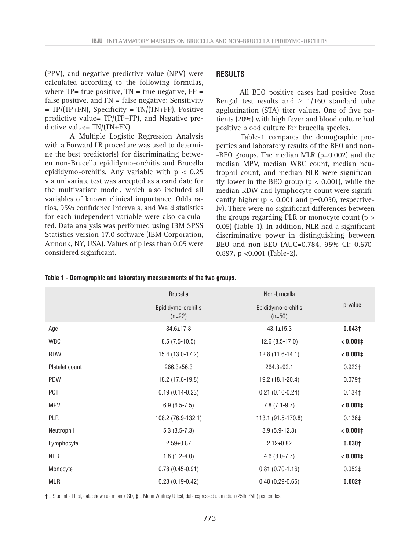(PPV), and negative predictive value (NPV) were calculated according to the following formulas, where  $TP = true$  positive,  $TN = true$  negative,  $FP =$ false positive, and  $FN = false$  negative: Sensitivity  $= TP/(TP+FN)$ , Specificity  $= TN/(TN+FP)$ , Positive predictive value= TP/(TP+FP), and Negative predictive value= TN/(TN+FN).

A Multiple Logistic Regression Analysis with a Forward LR procedure was used to determine the best predictor(s) for discriminating between non-Brucella epididymo-orchitis and Brucella epididymo-orchitis. Any variable with p < 0.25 via univariate test was accepted as a candidate for the multivariate model, which also included all variables of known clinical importance. Odds ratios, 95% confidence intervals, and Wald statistics for each independent variable were also calculated. Data analysis was performed using IBM SPSS Statistics version 17.0 software (IBM Corporation, Armonk, NY, USA). Values of p less than 0.05 were considered significant.

#### **RESULTS**

All BEO positive cases had positive Rose Bengal test results and  $\geq$  1/160 standard tube agglutination (STA) titer values. One of five patients (20%) with high fever and blood culture had positive blood culture for brucella species.

Table-1 compares the demographic properties and laboratory results of the BEO and non- -BEO groups. The median MLR (p=0.002) and the median MPV, median WBC count, median neutrophil count, and median NLR were significantly lower in the BEO group  $(p < 0.001)$ , while the median RDW and lymphocyte count were significantly higher ( $p < 0.001$  and  $p=0.030$ , respectively). There were no significant differences between the groups regarding PLR or monocyte count  $(p >$ 0.05) (Table-1). In addition, NLR had a significant discriminative power in distinguishing between BEO and non-BEO (AUC=0.784, 95% CI: 0.670- 0.897, p <0.001 (Table-2).

|                | <b>Brucella</b>                | Non-brucella                   |                    |  |
|----------------|--------------------------------|--------------------------------|--------------------|--|
|                | Epididymo-orchitis<br>$(n=22)$ | Epididymo-orchitis<br>$(n=50)$ | p-value            |  |
| Age            | $34.6 \pm 17.8$                | $43.1 \pm 15.3$                | $0.043\dagger$     |  |
| <b>WBC</b>     | $8.5(7.5-10.5)$                | $12.6(8.5-17.0)$               | $< 0.001$ ‡        |  |
| RDW            | 15.4 (13.0-17.2)               | 12.8 (11.6-14.1)               | $< 0.001$ ‡        |  |
| Platelet count | 266.3±56.3                     | $264.3 \pm 92.1$               | $0.923 +$          |  |
| PDW            | 18.2 (17.6-19.8)               | 19.2 (18.1-20.4)               | 0.079 <sup>‡</sup> |  |
| PCT            | $0.19(0.14 - 0.23)$            | $0.21(0.16-0.24)$              | $0.134 \ddagger$   |  |
| <b>MPV</b>     | $6.9(6.5-7.5)$                 | $7.8(7.1-9.7)$                 | $< 0.001$ ‡        |  |
| PLR            | 108.2 (76.9-132.1)             | 113.1 (91.5-170.8)             | $0.136 \ddagger$   |  |
| Neutrophil     | $5.3(3.5-7.3)$                 | $8.9(5.9-12.8)$                | $< 0.001$ ‡        |  |
| Lymphocyte     | $2.59 \pm 0.87$                | $2.12 \pm 0.82$                | 0.030 <sub>†</sub> |  |
| NLR            | $1.8(1.2-4.0)$                 | $4.6(3.0-7.7)$                 | $< 0.001$ ‡        |  |
| Monocyte       | $0.78(0.45-0.91)$              | $0.81(0.70-1.16)$              | $0.052 \ddagger$   |  |
| <b>MLR</b>     | $0.28(0.19-0.42)$              | $0.48(0.29-0.65)$              | $0.002+$           |  |

**Table 1 - Demographic and laboratory measurements of the two groups.**

**†** = Student's t test, data shown as mean ± SD, **‡** = Mann Whitney U test, data expressed as median (25th-75th) percentiles.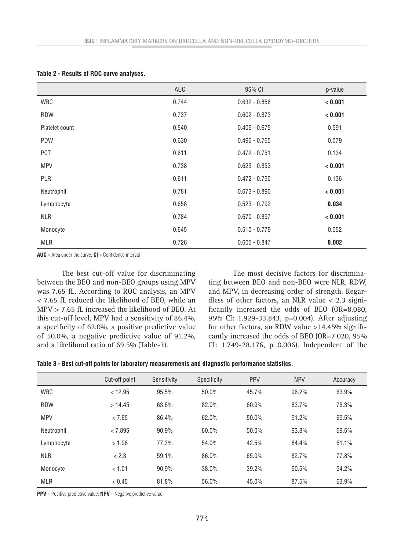|                | AUC   | 95% CI          | p-value |
|----------------|-------|-----------------|---------|
| <b>WBC</b>     | 0.744 | $0.632 - 0.856$ | < 0.001 |
| <b>RDW</b>     | 0.737 | $0.602 - 0.873$ | < 0.001 |
| Platelet count | 0.540 | $0.405 - 0.675$ | 0.591   |
| PDW            | 0.630 | $0.496 - 0.765$ | 0.079   |
| PCT            | 0.611 | $0.472 - 0.751$ | 0.134   |
| <b>MPV</b>     | 0.738 | $0.623 - 0.853$ | < 0.001 |
| PLR            | 0.611 | $0.472 - 0.750$ | 0.136   |
| Neutrophil     | 0.781 | $0.673 - 0.890$ | < 0.001 |
| Lymphocyte     | 0.658 | $0.523 - 0.792$ | 0.034   |
| <b>NLR</b>     | 0.784 | $0.670 - 0.897$ | < 0.001 |
| Monocyte       | 0.645 | $0.510 - 0.779$ | 0.052   |
| <b>MLR</b>     | 0.726 | $0.605 - 0.847$ | 0.002   |

#### **Table 2 - Results of ROC curve analyses.**

**AUC** = Area under the curve; **CI** = Confidence interval

The best cut-off value for discriminating between the BEO and non-BEO groups using MPV was 7.65 fL. According to ROC analysis, an MPV < 7.65 fL reduced the likelihood of BEO, while an MPV > 7.65 fL increased the likelihood of BEO. At this cut-off level, MPV had a sensitivity of 86.4%, a specificity of 62.0%, a positive predictive value of 50.0%, a negative predictive value of 91.2%, and a likelihood ratio of 69.5% (Table-3).

The most decisive factors for discriminating between BEO and non-BEO were NLR, RDW, and MPV, in decreasing order of strength. Regardless of other factors, an NLR value < 2.3 significantly increased the odds of BEO (OR=8.080, 95% CI: 1.929-33.843, p=0.004). After adjusting for other factors, an RDW value >14.45% significantly increased the odds of BEO (OR=7.020, 95% CI: 1.749-28.176, p=0.006). Independent of the

|            | Cut-off point | Sensitivity | Specificity | <b>PPV</b> | <b>NPV</b> | Accuracy |
|------------|---------------|-------------|-------------|------------|------------|----------|
| <b>WBC</b> | < 12.95       | 95.5%       | 50.0%       | 45.7%      | 96.2%      | 63.9%    |
| <b>RDW</b> | >14.45        | 63.6%       | 82.0%       | 60.9%      | 83.7%      | 76.3%    |
| <b>MPV</b> | < 7.65        | 86.4%       | 62.0%       | $50.0\%$   | 91.2%      | 69.5%    |
| Neutrophil | < 7.895       | 90.9%       | 60.0%       | $50.0\%$   | 93.8%      | 69.5%    |
| Lymphocyte | >1.96         | 77.3%       | 54.0%       | 42.5%      | 84.4%      | 61.1%    |
| <b>NLR</b> | < 2.3         | 59.1%       | 86.0%       | 65.0%      | 82.7%      | 77.8%    |
| Monocyte   | < 1.01        | 90.9%       | 38.0%       | 39.2%      | 90.5%      | 54.2%    |
| <b>MLR</b> | < 0.45        | 81.8%       | 56.0%       | 45.0%      | 87.5%      | 63.9%    |

**PPV** = Positive predictive value; **NPV** = Negative predictive value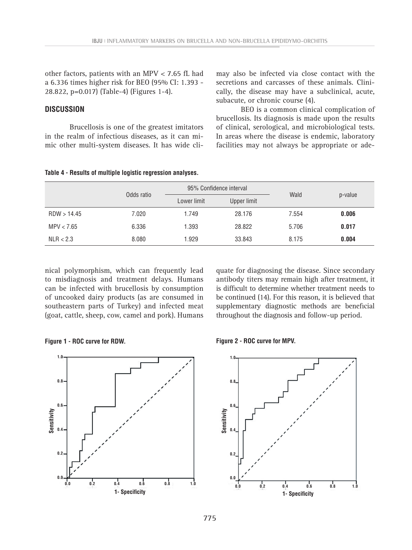other factors, patients with an MPV < 7.65 fL had a 6.336 times higher risk for BEO (95% CI: 1.393 - 28.822, p=0.017) (Table-4) (Figures 1-4).

## **DISCUSSION**

Brucellosis is one of the greatest imitators in the realm of infectious diseases, as it can mimic other multi-system diseases. It has wide cli-

**Table 4 - Results of multiple logistic regression analyses.**

may also be infected via close contact with the secretions and carcasses of these animals. Clinically, the disease may have a subclinical, acute, subacute, or chronic course (4).

BEO is a common clinical complication of brucellosis. Its diagnosis is made upon the results of clinical, serological, and microbiological tests. In areas where the disease is endemic, laboratory facilities may not always be appropriate or ade-

|             |            | 95% Confidence interval |             |       |         |
|-------------|------------|-------------------------|-------------|-------|---------|
|             | Odds ratio | Lower limit             | Upper limit | Wald  | p-value |
| RDW > 14.45 | 7.020      | 1.749                   | 28.176      | 7.554 | 0.006   |
| MPV < 7.65  | 6.336      | 1.393                   | 28.822      | 5.706 | 0.017   |
| NLR < 2.3   | 8.080      | 1.929                   | 33.843      | 8.175 | 0.004   |

nical polymorphism, which can frequently lead to misdiagnosis and treatment delays. Humans can be infected with brucellosis by consumption of uncooked dairy products (as are consumed in southeastern parts of Turkey) and infected meat (goat, cattle, sheep, cow, camel and pork). Humans

quate for diagnosing the disease. Since secondary antibody titers may remain high after treatment, it is difficult to determine whether treatment needs to be continued (14). For this reason, it is believed that supplementary diagnostic methods are beneficial throughout the diagnosis and follow-up period.



**1.0**

**1.0**





775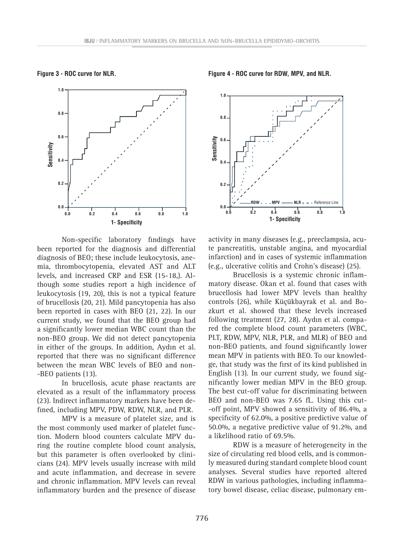

Non-specific laboratory findings have been reported for the diagnosis and differential diagnosis of BEO; these include leukocytosis, anemia, thrombocytopenia, elevated AST and ALT levels, and increased CRP and ESR (15-18,). Although some studies report a high incidence of leukocytosis (19, 20), this is not a typical feature of brucellosis (20, 21). Mild pancytopenia has also been reported in cases with BEO (21, 22). In our current study, we found that the BEO group had a significantly lower median WBC count than the non-BEO group. We did not detect pancytopenia in either of the groups. In addition, Aydın et al. reported that there was no significant difference between the mean WBC levels of BEO and non- -BEO patients (13).

In brucellosis, acute phase reactants are elevated as a result of the inflammatory process (23). Indirect inflammatory markers have been defined, including MPV, PDW, RDW, NLR, and PLR.

MPV is a measure of platelet size, and is the most commonly used marker of platelet function. Modern blood counters calculate MPV during the routine complete blood count analysis, but this parameter is often overlooked by clinicians (24). MPV levels usually increase with mild and acute inflammation, and decrease in severe and chronic inflammation. MPV levels can reveal inflammatory burden and the presence of disease

**Figure 3 - ROC curve for NLR. Figure 4 - ROC curve for RDW, MPV, and NLR.**



activity in many diseases (e.g., preeclampsia, acute pancreatitis, unstable angina, and myocardial infarction) and in cases of systemic inflammation (e.g., ulcerative colitis and Crohn's disease) (25).

Brucellosis is a systemic chronic inflammatory disease. Okan et al. found that cases with brucellosis had lower MPV levels than healthy controls (26), while Küçükbayrak et al. and Bozkurt et al. showed that these levels increased following treatment (27, 28). Aydın et al. compared the complete blood count parameters (WBC, PLT, RDW, MPV, NLR, PLR, and MLR) of BEO and non-BEO patients, and found significantly lower mean MPV in patients with BEO. To our knowledge, that study was the first of its kind published in English (13). In our current study, we found significantly lower median MPV in the BEO group. The best cut-off value for discriminating between BEO and non-BEO was 7.65 fL. Using this cut- -off point, MPV showed a sensitivity of 86.4%, a specificity of 62.0%, a positive predictive value of 50.0%, a negative predictive value of 91.2%, and a likelihood ratio of 69.5%.

RDW is a measure of heterogeneity in the size of circulating red blood cells, and is commonly measured during standard complete blood count analyses. Several studies have reported altered RDW in various pathologies, including inflammatory bowel disease, celiac disease, pulmonary em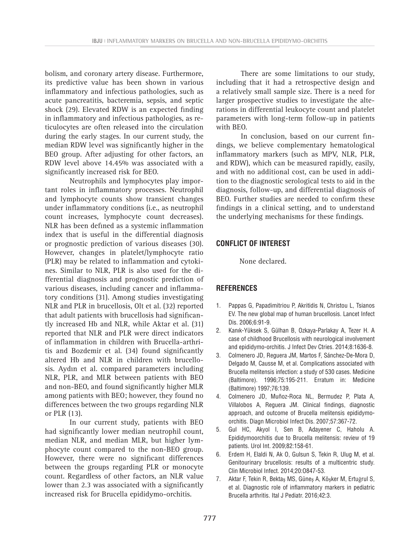bolism, and coronary artery disease. Furthermore, its predictive value has been shown in various inflammatory and infectious pathologies, such as acute pancreatitis, bacteremia, sepsis, and septic shock (29). Elevated RDW is an expected finding in inflammatory and infectious pathologies, as reticulocytes are often released into the circulation during the early stages. In our current study, the median RDW level was significantly higher in the BEO group. After adjusting for other factors, an RDW level above 14.45% was associated with a significantly increased risk for BEO.

Neutrophils and lymphocytes play important roles in inflammatory processes. Neutrophil and lymphocyte counts show transient changes under inflammatory conditions (i.e., as neutrophil count increases, lymphocyte count decreases). NLR has been defined as a systemic inflammation index that is useful in the differential diagnosis or prognostic prediction of various diseases (30). However, changes in platelet/lymphocyte ratio (PLR) may be related to inflammation and cytokines. Similar to NLR, PLR is also used for the differential diagnosis and prognostic prediction of various diseases, including cancer and inflammatory conditions (31). Among studies investigating NLR and PLR in brucellosis, Olt et al. (32) reported that adult patients with brucellosis had significantly increased Hb and NLR, while Aktar et al. (31) reported that NLR and PLR were direct indicators of inflammation in children with Brucella-arthritis and Bozdemir et al. (34) found significantly altered Hb and NLR in children with brucellosis. Aydın et al. compared parameters including NLR, PLR, and MLR between patients with BEO and non-BEO, and found significantly higher MLR among patients with BEO; however, they found no differences between the two groups regarding NLR or PLR (13).

In our current study, patients with BEO had significantly lower median neutrophil count, median NLR, and median MLR, but higher lymphocyte count compared to the non-BEO group. However, there were no significant differences between the groups regarding PLR or monocyte count. Regardless of other factors, an NLR value lower than 2.3 was associated with a significantly increased risk for Brucella epididymo-orchitis.

There are some limitations to our study, including that it had a retrospective design and a relatively small sample size. There is a need for larger prospective studies to investigate the alterations in differential leukocyte count and platelet parameters with long-term follow-up in patients with BEO.

In conclusion, based on our current findings, we believe complementary hematological inflammatory markers (such as MPV, NLR, PLR, and RDW), which can be measured rapidly, easily, and with no additional cost, can be used in addition to the diagnostic serological tests to aid in the diagnosis, follow-up, and differential diagnosis of BEO. Further studies are needed to confirm these findings in a clinical setting, and to understand the underlying mechanisms for these findings.

## **CONFLICT OF INTEREST**

None declared.

## **REFERENCES**

- 1. Pappas G, Papadimitriou P, Akritidis N, Christou L, Tsianos EV. The new global map of human brucellosis. Lancet Infect Dis. 2006;6:91-9.
- 2. Kanık-Yüksek S, Gülhan B, Ozkaya-Parlakay A, Tezer H. A case of childhood Brucellosis with neurological involvement and epididymo-orchitis. J Infect Dev Ctries. 2014;8:1636-8.
- 3. Colmenero JD, Reguera JM, Martos F, Sánchez-De-Mora D, Delgado M, Causse M, et al. Complications associated with Brucella melitensis infection: a study of 530 cases. Medicine (Baltimore). 1996;75:195-211. Erratum in: Medicine (Baltimore) 1997;76:139.
- 4. Colmenero JD, Muñoz-Roca NL, Bermudez P, Plata A, Villalobos A, Reguera JM. Clinical findings, diagnostic approach, and outcome of Brucella melitensis epididymoorchitis. Diagn Microbiol Infect Dis. 2007;57:367-72.
- 5. Gul HC, Akyol I, Sen B, Adayener C, Haholu A. Epididymoorchitis due to Brucella melitensis: review of 19 patients. Urol Int. 2009;82:158-61.
- 6. Erdem H, Elaldi N, Ak O, Gulsun S, Tekin R, Ulug M, et al. Genitourinary brucellosis: results of a multicentric study. Clin Microbiol Infect. 2014;20:O847-53.
- 7. Aktar F, Tekin R, Bektaş MS, Güneş A, Köşker M, Ertuğrul S, et al. Diagnostic role of inflammatory markers in pediatric Brucella arthritis. Ital J Pediatr. 2016;42:3.